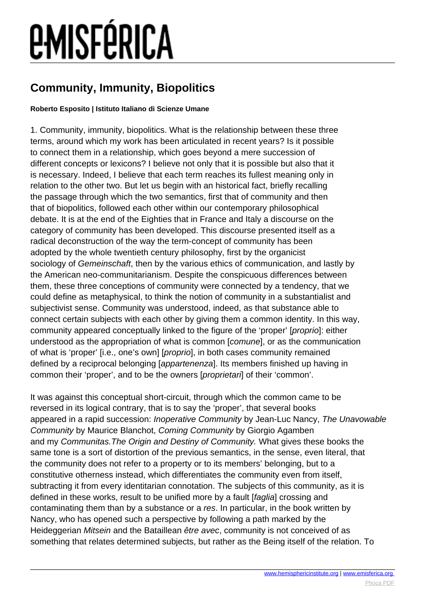#### **Community, Immunity, Biopolitics**

#### **Roberto Esposito | Istituto Italiano di Scienze Umane**

1. Community, immunity, biopolitics. What is the relationship between these three terms, around which my work has been articulated in recent years? Is it possible to connect them in a relationship, which goes beyond a mere succession of different concepts or lexicons? I believe not only that it is possible but also that it is necessary. Indeed, I believe that each term reaches its fullest meaning only in relation to the other two. But let us begin with an historical fact, briefly recalling the passage through which the two semantics, first that of community and then that of biopolitics, followed each other within our contemporary philosophical debate. It is at the end of the Eighties that in France and Italy a discourse on the category of community has been developed. This discourse presented itself as a radical deconstruction of the way the term-concept of community has been adopted by the whole twentieth century philosophy, first by the organicist sociology of Gemeinschaft, then by the various ethics of communication, and lastly by the American neo-communitarianism. Despite the conspicuous differences between them, these three conceptions of community were connected by a tendency, that we could define as metaphysical, to think the notion of community in a substantialist and subjectivist sense. Community was understood, indeed, as that substance able to connect certain subjects with each other by giving them a common identity. In this way, community appeared conceptually linked to the figure of the 'proper' [proprio]: either understood as the appropriation of what is common [comune], or as the communication of what is 'proper' [i.e., one's own] [proprio], in both cases community remained defined by a reciprocal belonging *[appartenenza]*. Its members finished up having in common their 'proper', and to be the owners [proprietari] of their 'common'.

It was against this conceptual short-circuit, through which the common came to be reversed in its logical contrary, that is to say the 'proper', that several books appeared in a rapid succession: Inoperative Community by Jean-Luc Nancy, The Unavowable Community by Maurice Blanchot, Coming Community by Giorgio Agamben and my Communitas.The Origin and Destiny of Community. What gives these books the same tone is a sort of distortion of the previous semantics, in the sense, even literal, that the community does not refer to a property or to its members' belonging, but to a constitutive otherness instead, which differentiates the community even from itself, subtracting it from every identitarian connotation. The subjects of this community, as it is defined in these works, result to be unified more by a fault [faglia] crossing and contaminating them than by a substance or a res. In particular, in the book written by Nancy, who has opened such a perspective by following a path marked by the Heideggerian Mitsein and the Bataillean être avec, community is not conceived of as something that relates determined subjects, but rather as the Being itself of the relation. To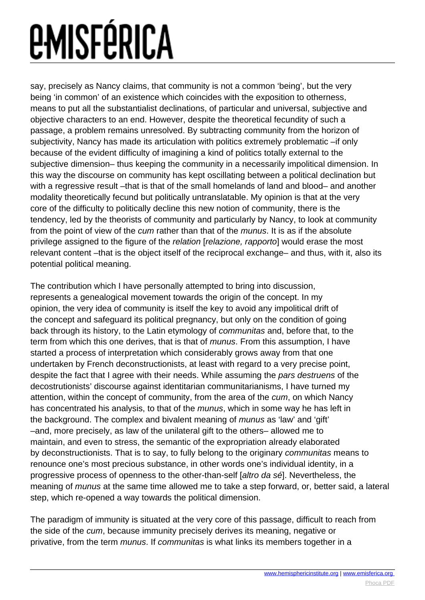say, precisely as Nancy claims, that community is not a common 'being', but the very being 'in common' of an existence which coincides with the exposition to otherness, means to put all the substantialist declinations, of particular and universal, subjective and objective characters to an end. However, despite the theoretical fecundity of such a passage, a problem remains unresolved. By subtracting community from the horizon of subjectivity, Nancy has made its articulation with politics extremely problematic – if only because of the evident difficulty of imagining a kind of politics totally external to the subjective dimension– thus keeping the community in a necessarily impolitical dimension. In this way the discourse on community has kept oscillating between a political declination but with a regressive result –that is that of the small homelands of land and blood– and another modality theoretically fecund but politically untranslatable. My opinion is that at the very core of the difficulty to politically decline this new notion of community, there is the tendency, led by the theorists of community and particularly by Nancy, to look at community from the point of view of the *cum* rather than that of the *munus*. It is as if the absolute privilege assigned to the figure of the relation [relazione, rapporto] would erase the most relevant content –that is the object itself of the reciprocal exchange– and thus, with it, also its potential political meaning.

The contribution which I have personally attempted to bring into discussion, represents a genealogical movement towards the origin of the concept. In my opinion, the very idea of community is itself the key to avoid any impolitical drift of the concept and safeguard its political pregnancy, but only on the condition of going back through its history, to the Latin etymology of communitas and, before that, to the term from which this one derives, that is that of munus. From this assumption, I have started a process of interpretation which considerably grows away from that one undertaken by French deconstructionists, at least with regard to a very precise point, despite the fact that I agree with their needs. While assuming the pars destruens of the decostrutionists' discourse against identitarian communitarianisms, I have turned my attention, within the concept of community, from the area of the cum, on which Nancy has concentrated his analysis, to that of the *munus*, which in some way he has left in the background. The complex and bivalent meaning of munus as 'law' and 'gift' –and, more precisely, as law of the unilateral gift to the others– allowed me to maintain, and even to stress, the semantic of the expropriation already elaborated by deconstructionists. That is to say, to fully belong to the originary communitas means to renounce one's most precious substance, in other words one's individual identity, in a progressive process of openness to the other-than-self [altro da sé]. Nevertheless, the meaning of *munus* at the same time allowed me to take a step forward, or, better said, a lateral step, which re-opened a way towards the political dimension.

The paradigm of immunity is situated at the very core of this passage, difficult to reach from the side of the cum, because immunity precisely derives its meaning, negative or privative, from the term munus. If communitas is what links its members together in a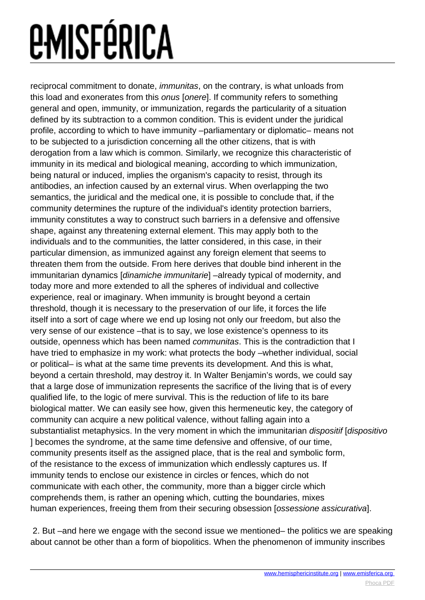reciprocal commitment to donate, immunitas, on the contrary, is what unloads from this load and exonerates from this onus [onere]. If community refers to something general and open, immunity, or immunization, regards the particularity of a situation defined by its subtraction to a common condition. This is evident under the juridical profile, according to which to have immunity –parliamentary or diplomatic– means not to be subjected to a jurisdiction concerning all the other citizens, that is with derogation from a law which is common. Similarly, we recognize this characteristic of immunity in its medical and biological meaning, according to which immunization, being natural or induced, implies the organism's capacity to resist, through its antibodies, an infection caused by an external virus. When overlapping the two semantics, the juridical and the medical one, it is possible to conclude that, if the community determines the rupture of the individual's identity protection barriers, immunity constitutes a way to construct such barriers in a defensive and offensive shape, against any threatening external element. This may apply both to the individuals and to the communities, the latter considered, in this case, in their particular dimension, as immunized against any foreign element that seems to threaten them from the outside. From here derives that double bind inherent in the immunitarian dynamics [dinamiche immunitarie] –already typical of modernity, and today more and more extended to all the spheres of individual and collective experience, real or imaginary. When immunity is brought beyond a certain threshold, though it is necessary to the preservation of our life, it forces the life itself into a sort of cage where we end up losing not only our freedom, but also the very sense of our existence –that is to say, we lose existence's openness to its outside, openness which has been named *communitas*. This is the contradiction that I have tried to emphasize in my work: what protects the body –whether individual, social or political– is what at the same time prevents its development. And this is what, beyond a certain threshold, may destroy it. In Walter Benjamin's words, we could say that a large dose of immunization represents the sacrifice of the living that is of every qualified life, to the logic of mere survival. This is the reduction of life to its bare biological matter. We can easily see how, given this hermeneutic key, the category of community can acquire a new political valence, without falling again into a substantialist metaphysics. In the very moment in which the immunitarian *dispositif* [*dispositivo*] ] becomes the syndrome, at the same time defensive and offensive, of our time, community presents itself as the assigned place, that is the real and symbolic form, of the resistance to the excess of immunization which endlessly captures us. If immunity tends to enclose our existence in circles or fences, which do not communicate with each other, the community, more than a bigger circle which comprehends them, is rather an opening which, cutting the boundaries, mixes human experiences, freeing them from their securing obsession [ossessione assicurativa].

 2. But –and here we engage with the second issue we mentioned– the politics we are speaking about cannot be other than a form of biopolitics. When the phenomenon of immunity inscribes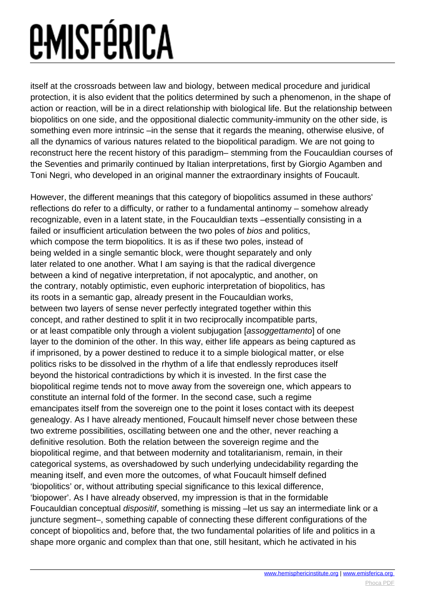## *EMISFÉRICA*

itself at the crossroads between law and biology, between medical procedure and juridical protection, it is also evident that the politics determined by such a phenomenon, in the shape of action or reaction, will be in a direct relationship with biological life. But the relationship between biopolitics on one side, and the oppositional dialectic community-immunity on the other side, is something even more intrinsic –in the sense that it regards the meaning, otherwise elusive, of all the dynamics of various natures related to the biopolitical paradigm. We are not going to reconstruct here the recent history of this paradigm– stemming from the Foucauldian courses of the Seventies and primarily continued by Italian interpretations, first by Giorgio Agamben and Toni Negri, who developed in an original manner the extraordinary insights of Foucault.

However, the different meanings that this category of biopolitics assumed in these authors' reflections do refer to a difficulty, or rather to a fundamental antinomy – somehow already recognizable, even in a latent state, in the Foucauldian texts –essentially consisting in a failed or insufficient articulation between the two poles of bios and politics, which compose the term biopolitics. It is as if these two poles, instead of being welded in a single semantic block, were thought separately and only later related to one another. What I am saying is that the radical divergence between a kind of negative interpretation, if not apocalyptic, and another, on the contrary, notably optimistic, even euphoric interpretation of biopolitics, has its roots in a semantic gap, already present in the Foucauldian works, between two layers of sense never perfectly integrated together within this concept, and rather destined to split it in two reciprocally incompatible parts, or at least compatible only through a violent subjugation [assoggettamento] of one layer to the dominion of the other. In this way, either life appears as being captured as if imprisoned, by a power destined to reduce it to a simple biological matter, or else politics risks to be dissolved in the rhythm of a life that endlessly reproduces itself beyond the historical contradictions by which it is invested. In the first case the biopolitical regime tends not to move away from the sovereign one, which appears to constitute an internal fold of the former. In the second case, such a regime emancipates itself from the sovereign one to the point it loses contact with its deepest genealogy. As I have already mentioned, Foucault himself never chose between these two extreme possibilities, oscillating between one and the other, never reaching a definitive resolution. Both the relation between the sovereign regime and the biopolitical regime, and that between modernity and totalitarianism, remain, in their categorical systems, as overshadowed by such underlying undecidability regarding the meaning itself, and even more the outcomes, of what Foucault himself defined 'biopolitics' or, without attributing special significance to this lexical difference, 'biopower'. As I have already observed, my impression is that in the formidable Foucauldian conceptual dispositif, something is missing –let us say an intermediate link or a juncture segment–, something capable of connecting these different configurations of the concept of biopolitics and, before that, the two fundamental polarities of life and politics in a shape more organic and complex than that one, still hesitant, which he activated in his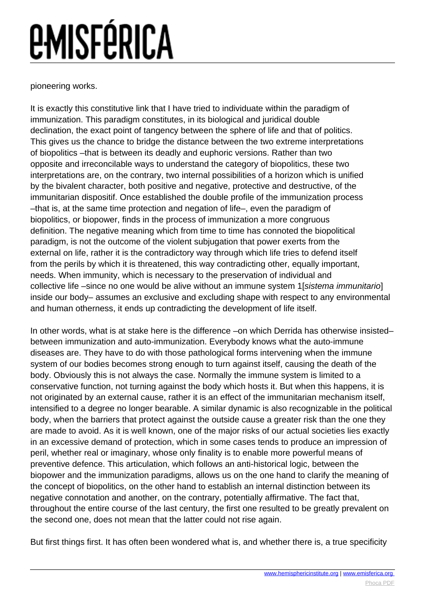pioneering works.

It is exactly this constitutive link that I have tried to individuate within the paradigm of immunization. This paradigm constitutes, in its biological and juridical double declination, the exact point of tangency between the sphere of life and that of politics. This gives us the chance to bridge the distance between the two extreme interpretations of biopolitics –that is between its deadly and euphoric versions. Rather than two opposite and irreconcilable ways to understand the category of biopolitics, these two interpretations are, on the contrary, two internal possibilities of a horizon which is unified by the bivalent character, both positive and negative, protective and destructive, of the immunitarian dispositif. Once established the double profile of the immunization process –that is, at the same time protection and negation of life–, even the paradigm of biopolitics, or biopower, finds in the process of immunization a more congruous definition. The negative meaning which from time to time has connoted the biopolitical paradigm, is not the outcome of the violent subjugation that power exerts from the external on life, rather it is the contradictory way through which life tries to defend itself from the perils by which it is threatened, this way contradicting other, equally important, needs. When immunity, which is necessary to the preservation of individual and collective life –since no one would be alive without an immune system 1[sistema immunitario] inside our body– assumes an exclusive and excluding shape with respect to any environmental and human otherness, it ends up contradicting the development of life itself.

In other words, what is at stake here is the difference –on which Derrida has otherwise insisted– between immunization and auto-immunization. Everybody knows what the auto-immune diseases are. They have to do with those pathological forms intervening when the immune system of our bodies becomes strong enough to turn against itself, causing the death of the body. Obviously this is not always the case. Normally the immune system is limited to a conservative function, not turning against the body which hosts it. But when this happens, it is not originated by an external cause, rather it is an effect of the immunitarian mechanism itself, intensified to a degree no longer bearable. A similar dynamic is also recognizable in the political body, when the barriers that protect against the outside cause a greater risk than the one they are made to avoid. As it is well known, one of the major risks of our actual societies lies exactly in an excessive demand of protection, which in some cases tends to produce an impression of peril, whether real or imaginary, whose only finality is to enable more powerful means of preventive defence. This articulation, which follows an anti-historical logic, between the biopower and the immunization paradigms, allows us on the one hand to clarify the meaning of the concept of biopolitics, on the other hand to establish an internal distinction between its negative connotation and another, on the contrary, potentially affirmative. The fact that, throughout the entire course of the last century, the first one resulted to be greatly prevalent on the second one, does not mean that the latter could not rise again.

But first things first. It has often been wondered what is, and whether there is, a true specificity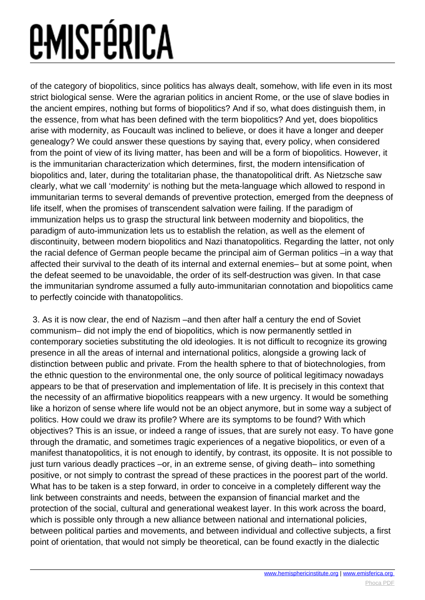of the category of biopolitics, since politics has always dealt, somehow, with life even in its most strict biological sense. Were the agrarian politics in ancient Rome, or the use of slave bodies in the ancient empires, nothing but forms of biopolitics? And if so, what does distinguish them, in the essence, from what has been defined with the term biopolitics? And yet, does biopolitics arise with modernity, as Foucault was inclined to believe, or does it have a longer and deeper genealogy? We could answer these questions by saying that, every policy, when considered from the point of view of its living matter, has been and will be a form of biopolitics. However, it is the immunitarian characterization which determines, first, the modern intensification of biopolitics and, later, during the totalitarian phase, the thanatopolitical drift. As Nietzsche saw clearly, what we call 'modernity' is nothing but the meta-language which allowed to respond in immunitarian terms to several demands of preventive protection, emerged from the deepness of life itself, when the promises of transcendent salvation were failing. If the paradigm of immunization helps us to grasp the structural link between modernity and biopolitics, the paradigm of auto-immunization lets us to establish the relation, as well as the element of discontinuity, between modern biopolitics and Nazi thanatopolitics. Regarding the latter, not only the racial defence of German people became the principal aim of German politics –in a way that affected their survival to the death of its internal and external enemies– but at some point, when the defeat seemed to be unavoidable, the order of its self-destruction was given. In that case the immunitarian syndrome assumed a fully auto-immunitarian connotation and biopolitics came to perfectly coincide with thanatopolitics.

 3. As it is now clear, the end of Nazism –and then after half a century the end of Soviet communism– did not imply the end of biopolitics, which is now permanently settled in contemporary societies substituting the old ideologies. It is not difficult to recognize its growing presence in all the areas of internal and international politics, alongside a growing lack of distinction between public and private. From the health sphere to that of biotechnologies, from the ethnic question to the environmental one, the only source of political legitimacy nowadays appears to be that of preservation and implementation of life. It is precisely in this context that the necessity of an affirmative biopolitics reappears with a new urgency. It would be something like a horizon of sense where life would not be an object anymore, but in some way a subject of politics. How could we draw its profile? Where are its symptoms to be found? With which objectives? This is an issue, or indeed a range of issues, that are surely not easy. To have gone through the dramatic, and sometimes tragic experiences of a negative biopolitics, or even of a manifest thanatopolitics, it is not enough to identify, by contrast, its opposite. It is not possible to just turn various deadly practices –or, in an extreme sense, of giving death– into something positive, or not simply to contrast the spread of these practices in the poorest part of the world. What has to be taken is a step forward, in order to conceive in a completely different way the link between constraints and needs, between the expansion of financial market and the protection of the social, cultural and generational weakest layer. In this work across the board, which is possible only through a new alliance between national and international policies, between political parties and movements, and between individual and collective subjects, a first point of orientation, that would not simply be theoretical, can be found exactly in the dialectic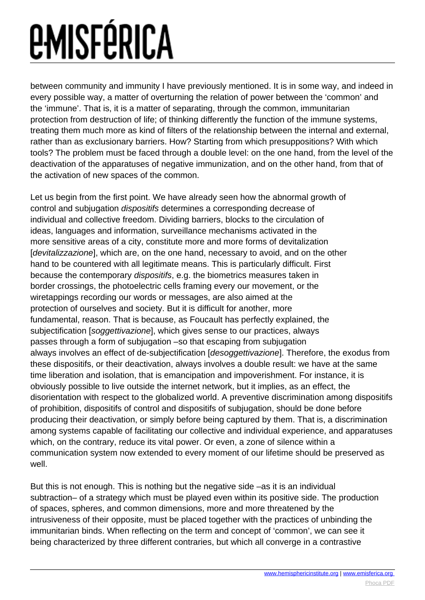between community and immunity I have previously mentioned. It is in some way, and indeed in every possible way, a matter of overturning the relation of power between the 'common' and the 'immune'. That is, it is a matter of separating, through the common, immunitarian protection from destruction of life; of thinking differently the function of the immune systems, treating them much more as kind of filters of the relationship between the internal and external, rather than as exclusionary barriers. How? Starting from which presuppositions? With which tools? The problem must be faced through a double level: on the one hand, from the level of the deactivation of the apparatuses of negative immunization, and on the other hand, from that of the activation of new spaces of the common.

Let us begin from the first point. We have already seen how the abnormal growth of control and subjugation dispositifs determines a corresponding decrease of individual and collective freedom. Dividing barriers, blocks to the circulation of ideas, languages and information, surveillance mechanisms activated in the more sensitive areas of a city, constitute more and more forms of devitalization [devitalizzazione], which are, on the one hand, necessary to avoid, and on the other hand to be countered with all legitimate means. This is particularly difficult. First because the contemporary dispositifs, e.g. the biometrics measures taken in border crossings, the photoelectric cells framing every our movement, or the wiretappings recording our words or messages, are also aimed at the protection of ourselves and society. But it is difficult for another, more fundamental, reason. That is because, as Foucault has perfectly explained, the subjectification [soggettivazione], which gives sense to our practices, always passes through a form of subjugation –so that escaping from subjugation always involves an effect of de-subjectification [desoggettivazione]. Therefore, the exodus from these dispositifs, or their deactivation, always involves a double result: we have at the same time liberation and isolation, that is emancipation and impoverishment. For instance, it is obviously possible to live outside the internet network, but it implies, as an effect, the disorientation with respect to the globalized world. A preventive discrimination among dispositifs of prohibition, dispositifs of control and dispositifs of subjugation, should be done before producing their deactivation, or simply before being captured by them. That is, a discrimination among systems capable of facilitating our collective and individual experience, and apparatuses which, on the contrary, reduce its vital power. Or even, a zone of silence within a communication system now extended to every moment of our lifetime should be preserved as well.

But this is not enough. This is nothing but the negative side –as it is an individual subtraction– of a strategy which must be played even within its positive side. The production of spaces, spheres, and common dimensions, more and more threatened by the intrusiveness of their opposite, must be placed together with the practices of unbinding the immunitarian binds. When reflecting on the term and concept of 'common', we can see it being characterized by three different contraries, but which all converge in a contrastive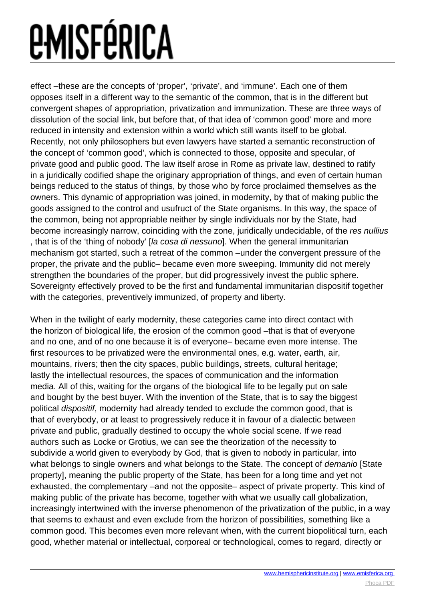effect –these are the concepts of 'proper', 'private', and 'immune'. Each one of them opposes itself in a different way to the semantic of the common, that is in the different but convergent shapes of appropriation, privatization and immunization. These are three ways of dissolution of the social link, but before that, of that idea of 'common good' more and more reduced in intensity and extension within a world which still wants itself to be global. Recently, not only philosophers but even lawyers have started a semantic reconstruction of the concept of 'common good', which is connected to those, opposite and specular, of private good and public good. The law itself arose in Rome as private law, destined to ratify in a juridically codified shape the originary appropriation of things, and even of certain human beings reduced to the status of things, by those who by force proclaimed themselves as the owners. This dynamic of appropriation was joined, in modernity, by that of making public the goods assigned to the control and usufruct of the State organisms. In this way, the space of the common, being not appropriable neither by single individuals nor by the State, had become increasingly narrow, coinciding with the zone, juridically undecidable, of the res nullius , that is of the 'thing of nobody' [la cosa di nessuno]. When the general immunitarian mechanism got started, such a retreat of the common –under the convergent pressure of the proper, the private and the public– became even more sweeping. Immunity did not merely strengthen the boundaries of the proper, but did progressively invest the public sphere. Sovereignty effectively proved to be the first and fundamental immunitarian dispositif together with the categories, preventively immunized, of property and liberty.

When in the twilight of early modernity, these categories came into direct contact with the horizon of biological life, the erosion of the common good –that is that of everyone and no one, and of no one because it is of everyone– became even more intense. The first resources to be privatized were the environmental ones, e.g. water, earth, air, mountains, rivers; then the city spaces, public buildings, streets, cultural heritage; lastly the intellectual resources, the spaces of communication and the information media. All of this, waiting for the organs of the biological life to be legally put on sale and bought by the best buyer. With the invention of the State, that is to say the biggest political dispositif, modernity had already tended to exclude the common good, that is that of everybody, or at least to progressively reduce it in favour of a dialectic between private and public, gradually destined to occupy the whole social scene. If we read authors such as Locke or Grotius, we can see the theorization of the necessity to subdivide a world given to everybody by God, that is given to nobody in particular, into what belongs to single owners and what belongs to the State. The concept of *demanio* [State property], meaning the public property of the State, has been for a long time and yet not exhausted, the complementary –and not the opposite– aspect of private property. This kind of making public of the private has become, together with what we usually call globalization, increasingly intertwined with the inverse phenomenon of the privatization of the public, in a way that seems to exhaust and even exclude from the horizon of possibilities, something like a common good. This becomes even more relevant when, with the current biopolitical turn, each good, whether material or intellectual, corporeal or technological, comes to regard, directly or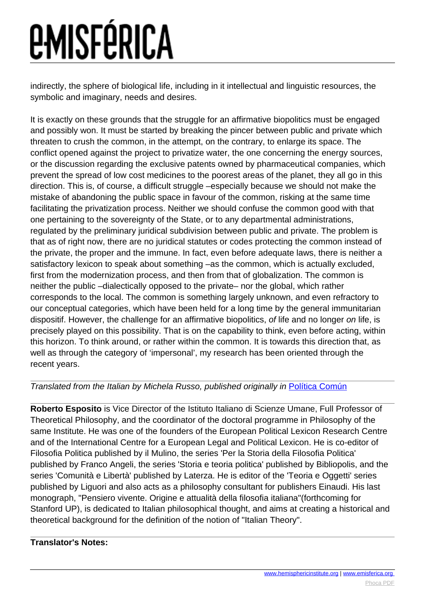## *EMISFÉRICA*

indirectly, the sphere of biological life, including in it intellectual and linguistic resources, the symbolic and imaginary, needs and desires.

It is exactly on these grounds that the struggle for an affirmative biopolitics must be engaged and possibly won. It must be started by breaking the pincer between public and private which threaten to crush the common, in the attempt, on the contrary, to enlarge its space. The conflict opened against the project to privatize water, the one concerning the energy sources, or the discussion regarding the exclusive patents owned by pharmaceutical companies, which prevent the spread of low cost medicines to the poorest areas of the planet, they all go in this direction. This is, of course, a difficult struggle –especially because we should not make the mistake of abandoning the public space in favour of the common, risking at the same time facilitating the privatization process. Neither we should confuse the common good with that one pertaining to the sovereignty of the State, or to any departmental administrations, regulated by the preliminary juridical subdivision between public and private. The problem is that as of right now, there are no juridical statutes or codes protecting the common instead of the private, the proper and the immune. In fact, even before adequate laws, there is neither a satisfactory lexicon to speak about something –as the common, which is actually excluded, first from the modernization process, and then from that of globalization. The common is neither the public –dialectically opposed to the private– nor the global, which rather corresponds to the local. The common is something largely unknown, and even refractory to our conceptual categories, which have been held for a long time by the general immunitarian dispositif. However, the challenge for an affirmative biopolitics, of life and no longer on life, is precisely played on this possibility. That is on the capability to think, even before acting, within this horizon. To think around, or rather within the common. It is towards this direction that, as well as through the category of 'impersonal', my research has been oriented through the recent years.

#### Translated from the Italian by Michela Russo, published originally in Politica Común

**Roberto Esposito** is Vice Director of the Istituto Italiano di Scienze Umane, Full Professor of Theoretical Philosophy, and the coordinator of the doctoral programme in Philosophy of the same Institute. He was one of the founders of the European Political Lexicon Research Centre and of the International Centre for a European Legal and Political Lexicon. He is co-editor of Filosofia Politica published by il Mulino, the series 'Per la Storia della Filosofia Politica' published by Franco Angeli, the series 'Storia e teoria politica' published by Bibliopolis, and the series 'Comunità e Libertà' published by Laterza. He is editor of the 'Teoria e Oggetti' series published by Liguori and also acts as a philosophy consultant for publishers Einaudi. His last monograph, "Pensiero vivente. Origine e attualità della filosofia italiana"(forthcoming for Stanford UP), is dedicated to Italian philosophical thought, and aims at creating a historical and theoretical background for the definition of the notion of "Italian Theory".

#### **Translator's Notes:**